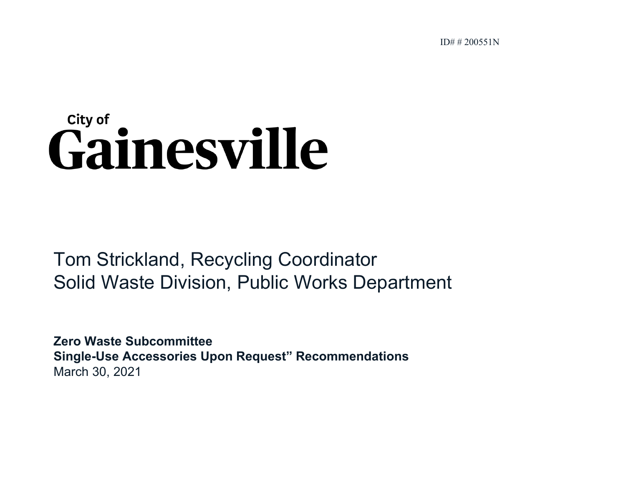ID# # 200551N

# City of Gainesville

Tom Strickland, Recycling Coordinator Solid Waste Division, Public Works Department

**Zero Waste SubcommitteeSingle-Use Accessories Upon Request" Recommendations** March 30, 2021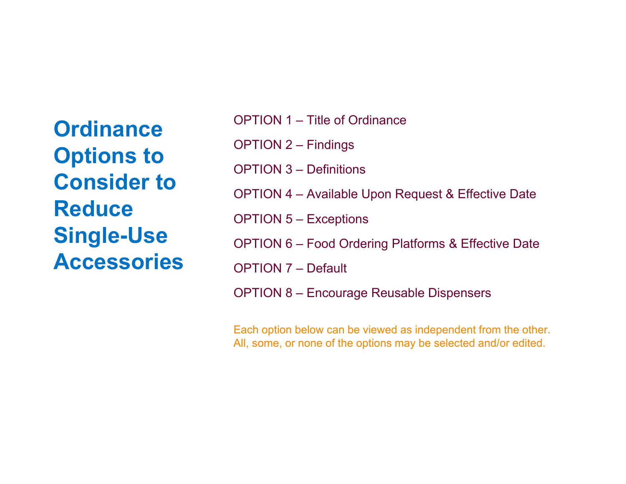**Ordinance Options to Consider to Reduce Single-Use Accessories** 

| <b>OPTION 1 – Title of Ordinance</b>                          |
|---------------------------------------------------------------|
| <b>OPTION 2 – Findings</b>                                    |
| <b>OPTION 3 – Definitions</b>                                 |
| <b>OPTION 4 – Available Upon Request &amp; Effective Date</b> |
| <b>OPTION 5 – Exceptions</b>                                  |
| OPTION 6 – Food Ordering Platforms & Effective Date           |
| <b>OPTION 7 – Default</b>                                     |
| OPTION 8 – Encourage Reusable Dispensers                      |

Each option below can be viewed as independent from the other. All, some, or none of the options may be selected and/or edited.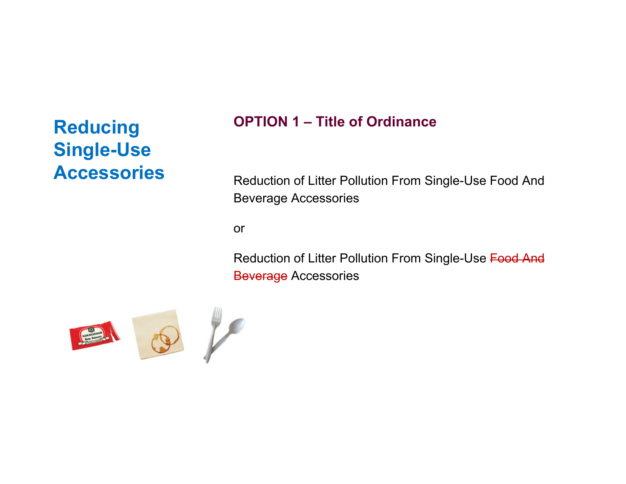#### **OPTION 1 – Title of Ordinance**

Reduction of Litter Pollution From Single-Use Food And Beverage Accessories

or

Reduction of Litter Pollution From Single-Use Food And Beverage Accessories

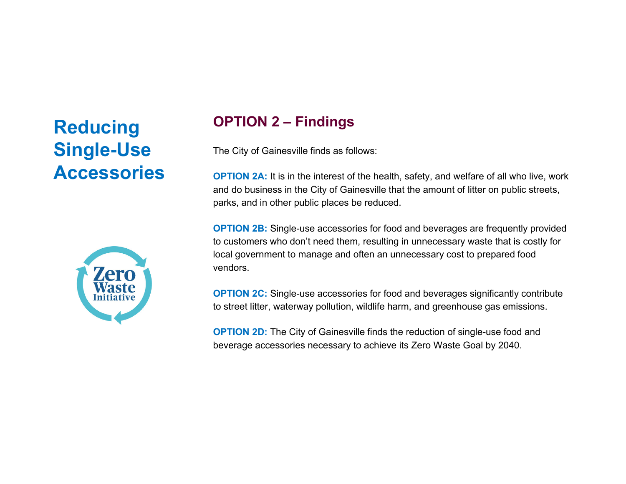

#### **OPTION 2 – Findings**

The City of Gainesville finds as follows:

**OPTION 2A:** It is in the interest of the health, safety, and welfare of all who live, work and do business in the City of Gainesville that the amount of litter on public streets, parks, and in other public places be reduced.

**OPTION 2B:** Single-use accessories for food and beverages are frequently provided to customers who don't need them, resulting in unnecessary waste that is costly for local government to manage and often an unnecessary cost to prepared food vendors.

**OPTION 2C:** Single-use accessories for food and beverages significantly contribute to street litter, waterway pollution, wildlife harm, and greenhouse gas emissions.

**OPTION 2D:** The City of Gainesville finds the reduction of single-use food and beverage accessories necessary to achieve its Zero Waste Goal by 2040.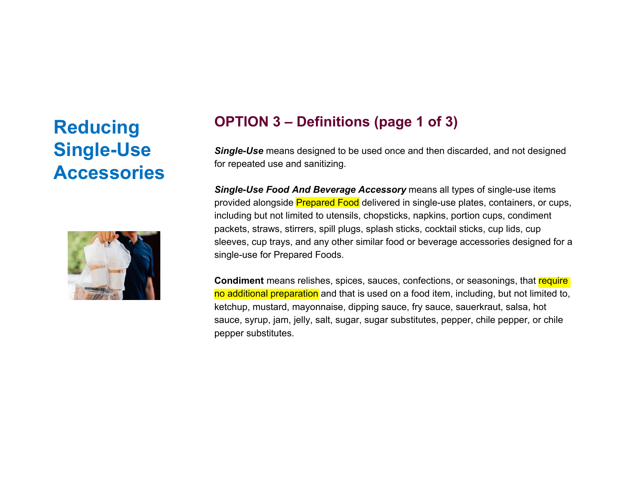

#### **OPTION 3 – Definitions (page 1 of 3)**

*Single-Use* means designed to be used once and then discarded, and not designed for repeated use and sanitizing.

*Single-Use Food And Beverage Accessory* means all types of single-use items provided alongside Prepared Food delivered in single-use plates, containers, or cups, including but not limited to utensils, chopsticks, napkins, portion cups, condiment packets, straws, stirrers, spill plugs, splash sticks, cocktail sticks, cup lids, cup sleeves, cup trays, and any other similar food or beverage accessories designed for a single-use for Prepared Foods.

**Condiment** means relishes, spices, sauces, confections, or seasonings, that <mark>require</mark> no additional preparation and that is used on a food item, including, but not limited to, ketchup, mustard, mayonnaise, dipping sauce, fry sauce, sauerkraut, salsa, hot sauce, syrup, jam, jelly, salt, sugar, sugar substitutes, pepper, chile pepper, or chile pepper substitutes.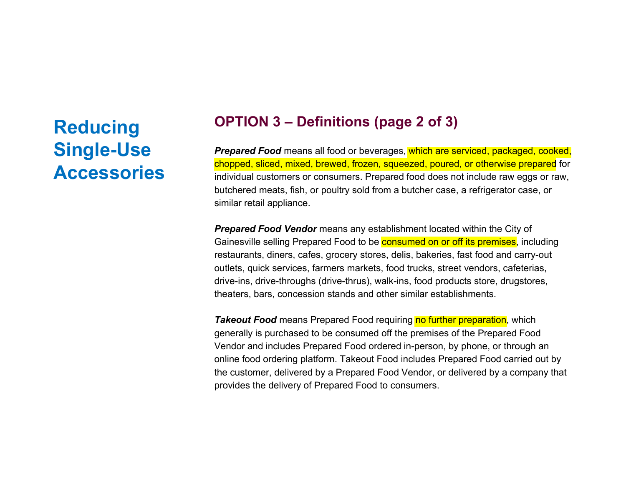#### **OPTION 3 – Definitions (page 2 of 3)**

**Prepared Food** means all food or beverages, which are serviced, packaged, cooked, chopped, sliced, mixed, brewed, frozen, squeezed, poured, or otherwise prepared for individual customers or consumers. Prepared food does not include raw eggs or raw, butchered meats, fish, or poultry sold from a butcher case, a refrigerator case, or similar retail appliance.

*Prepared Food Vendor* means any establishment located within the City of Gainesville selling Prepared Food to be **consumed on or off its premises**, including restaurants, diners, cafes, grocery stores, delis, bakeries, fast food and carry-out outlets, quick services, farmers markets, food trucks, street vendors, cafeterias, drive-ins, drive-throughs (drive-thrus), walk-ins, food products store, drugstores, theaters, bars, concession stands and other similar establishments.

**Takeout Food** means Prepared Food requiring no further preparation, which generally is purchased to be consumed off the premises of the Prepared Food Vendor and includes Prepared Food ordered in-person, by phone, or through an online food ordering platform. Takeout Food includes Prepared Food carried out by the customer, delivered by a Prepared Food Vendor, or delivered by a company that provides the delivery of Prepared Food to consumers.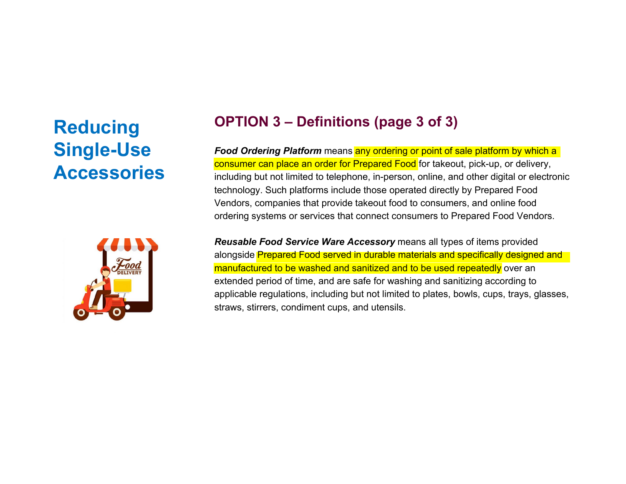

#### **OPTION 3 – Definitions (page 3 of 3)**

**Food Ordering Platform** means any ordering or point of sale platform by which a consumer can place an order for Prepared Food for takeout, pick-up, or delivery, including but not limited to telephone, in-person, online, and other digital or electronic technology. Such platforms include those operated directly by Prepared Food Vendors, companies that provide takeout food to consumers, and online food ordering systems or services that connect consumers to Prepared Food Vendors.

*Reusable Food Service Ware Accessory* means all types of items provided alongside Prepared Food served in durable materials and specifically designed and manufactured to be washed and sanitized and to be used repeatedly over an extended period of time, and are safe for washing and sanitizing according to applicable regulations, including but not limited to plates, bowls, cups, trays, glasses, straws, stirrers, condiment cups, and utensils.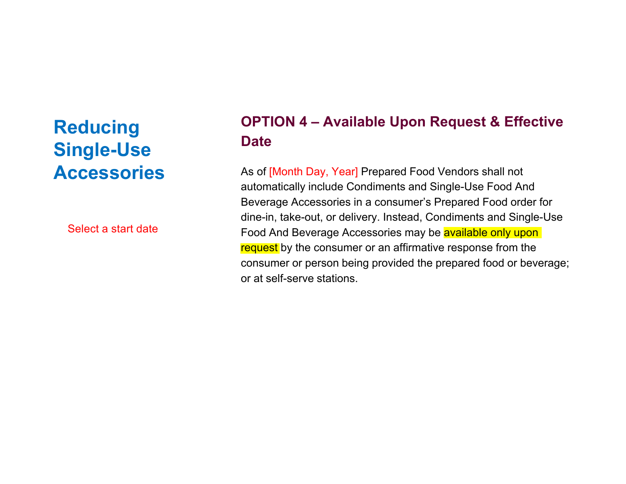Select a start date

#### **OPTION 4 – Available Upon Request & Effective Date**

As of [Month Day, Year] Prepared Food Vendors shall not automatically include Condiments and Single-Use Food And Beverage Accessories in a consumer's Prepared Food order for dine-in, take-out, or delivery. Instead, Condiments and Single-Use Food And Beverage Accessories may be available only upon request by the consumer or an affirmative response from the consumer or person being provided the prepared food or beverage; or at self-serve stations.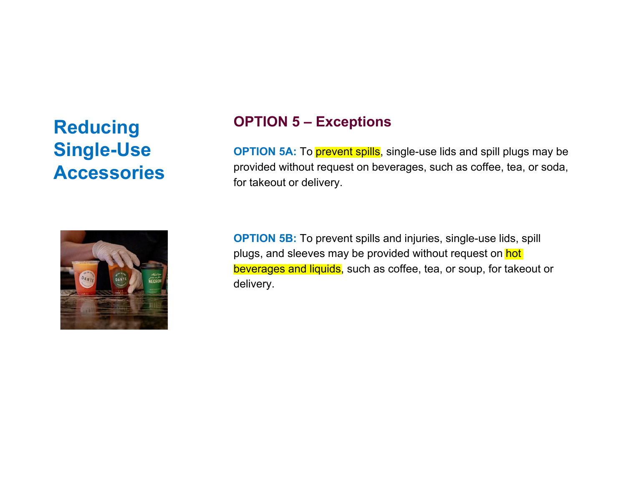

#### **OPTION 5 – Exceptions**

**OPTION 5A:** To *prevent spills*, single-use lids and spill plugs may be provided without request on beverages, such as coffee, tea, or soda, for takeout or delivery.

**OPTION 5B:** To prevent spills and injuries, single-use lids, spill plugs, and sleeves may be provided without request on hot beverages and liquids, such as coffee, tea, or soup, for takeout or delivery.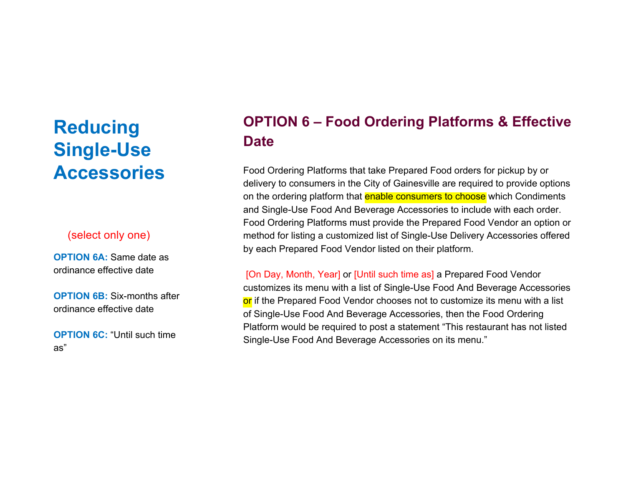#### (select only one)

**OPTION 6A: Same date as** ordinance effective date

**OPTION 6B:** Six-months after ordinance effective date

**OPTION 6C: "Until such time"** as"

### **OPTION 6 – Food Ordering Platforms & Effective Date**

Food Ordering Platforms that take Prepared Food orders for pickup by or delivery to consumers in the City of Gainesville are required to provide options on the ordering platform that **enable consumers to choose** which Condiments and Single-Use Food And Beverage Accessories to include with each order. Food Ordering Platforms must provide the Prepared Food Vendor an option or method for listing a customized list of Single-Use Delivery Accessories offered by each Prepared Food Vendor listed on their platform.

[On Day, Month, Year] or [Until such time as] a Prepared Food Vendor customizes its menu with a list of Single-Use Food And Beverage Accessories or if the Prepared Food Vendor chooses not to customize its menu with a list of Single-Use Food And Beverage Accessories, then the Food Ordering Platform would be required to post a statement "This restaurant has not listed Single-Use Food And Beverage Accessories on its menu."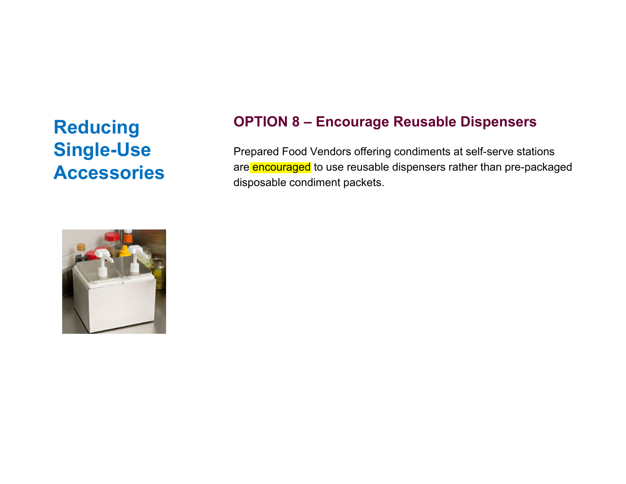#### **OPTION 8 – Encourage Reusable Dispensers**

Prepared Food Vendors offering condiments at self-serve stations are encouraged to use reusable dispensers rather than pre-packaged disposable condiment packets.